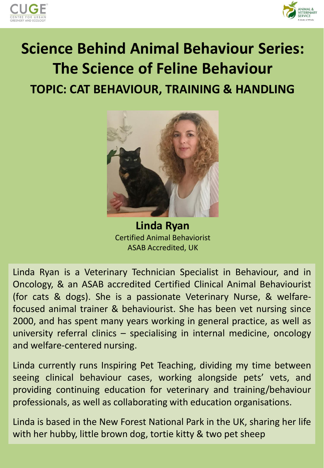



## **Science Behind Animal Behaviour Series: The Science of Feline Behaviour TOPIC: CAT BEHAVIOUR, TRAINING & HANDLING**



**Linda Ryan** Certified Animal Behaviorist ASAB Accredited, UK

Linda Ryan is a Veterinary Technician Specialist in Behaviour, and in Oncology, & an ASAB accredited Certified Clinical Animal Behaviourist (for cats & dogs). She is a passionate Veterinary Nurse, & welfarefocused animal trainer & behaviourist. She has been vet nursing since 2000, and has spent many years working in general practice, as well as university referral clinics – specialising in internal medicine, oncology and welfare-centered nursing.

Linda currently runs Inspiring Pet Teaching, dividing my time between seeing clinical behaviour cases, working alongside pets' vets, and providing continuing education for veterinary and training/behaviour professionals, as well as collaborating with education organisations.

Linda is based in the New Forest National Park in the UK, sharing her life with her hubby, little brown dog, tortie kitty & two pet sheep